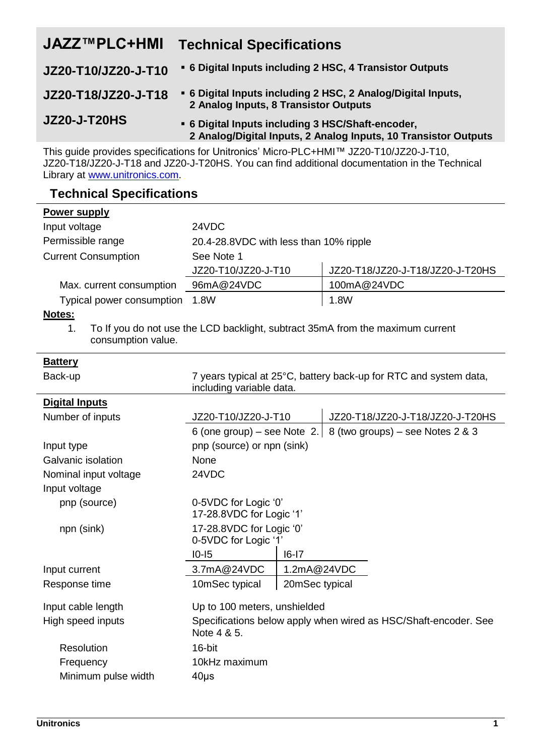| <b>JAZZ™PLC+HMI</b> | <b>Technical Specifications</b>                                                                                      |
|---------------------|----------------------------------------------------------------------------------------------------------------------|
| JZ20-T10/JZ20-J-T10 | • 6 Digital Inputs including 2 HSC, 4 Transistor Outputs                                                             |
| JZ20-T18/JZ20-J-T18 | • 6 Digital Inputs including 2 HSC, 2 Analog/Digital Inputs,<br>2 Analog Inputs, 8 Transistor Outputs                |
| <b>JZ20-J-T20HS</b> | . 6 Digital Inputs including 3 HSC/Shaft-encoder,<br>2 Analog/Digital Inputs, 2 Analog Inputs, 10 Transistor Outputs |

This guide provides specifications for Unitronics' Micro-PLC+HMI™ JZ20-T10/JZ20-J-T10, JZ20-T18/JZ20-J-T18 and JZ20-J-T20HS. You can find additional documentation in the Technical Library a[t www.unitronics.com.](http://www.unitronics.com/)

# **Technical Specifications**

| Power supply               |                                         |                                  |
|----------------------------|-----------------------------------------|----------------------------------|
| Input voltage              | 24VDC                                   |                                  |
| Permissible range          | 20.4-28.8 VDC with less than 10% ripple |                                  |
| <b>Current Consumption</b> | See Note 1                              |                                  |
|                            | JZ20-T10/JZ20-J-T10                     | JZ20-T18/JZ20-J-T18/JZ20-J-T20HS |
| Max. current consumption   | 96mA@24VDC                              | 100mA@24VDC                      |
| Typical power consumption  | 1.8W                                    | 1.8W                             |

## **Notes:**

1. To If you do not use the LCD backlight, subtract 35mA from the maximum current consumption value.

| <b>Battery</b>        |                                                                                               |                |                                                                 |
|-----------------------|-----------------------------------------------------------------------------------------------|----------------|-----------------------------------------------------------------|
| Back-up               | 7 years typical at 25°C, battery back-up for RTC and system data,<br>including variable data. |                |                                                                 |
| <b>Digital Inputs</b> |                                                                                               |                |                                                                 |
| Number of inputs      | JZ20-T10/JZ20-J-T10                                                                           |                | JZ20-T18/JZ20-J-T18/JZ20-J-T20HS                                |
|                       |                                                                                               |                | 6 (one group) – see Note 2. 8 (two groups) – see Notes $2 \& 3$ |
| Input type            | pnp (source) or npn (sink)                                                                    |                |                                                                 |
| Galvanic isolation    | None                                                                                          |                |                                                                 |
| Nominal input voltage | 24VDC                                                                                         |                |                                                                 |
| Input voltage         |                                                                                               |                |                                                                 |
| pnp (source)          | 0-5VDC for Logic '0'<br>17-28.8VDC for Logic '1'                                              |                |                                                                 |
| npn (sink)            | 17-28.8VDC for Logic '0'<br>0-5VDC for Logic '1'                                              |                |                                                                 |
|                       | $10 - 15$                                                                                     | $16 - 17$      |                                                                 |
| Input current         | 3.7mA@24VDC                                                                                   | 1.2mA@24VDC    |                                                                 |
| Response time         | 10mSec typical                                                                                | 20mSec typical |                                                                 |
| Input cable length    | Up to 100 meters, unshielded                                                                  |                |                                                                 |
| High speed inputs     | Specifications below apply when wired as HSC/Shaft-encoder. See<br>Note 4 & 5.                |                |                                                                 |
| Resolution            | 16-bit                                                                                        |                |                                                                 |
| Frequency             | 10kHz maximum                                                                                 |                |                                                                 |
| Minimum pulse width   | $40\mu s$                                                                                     |                |                                                                 |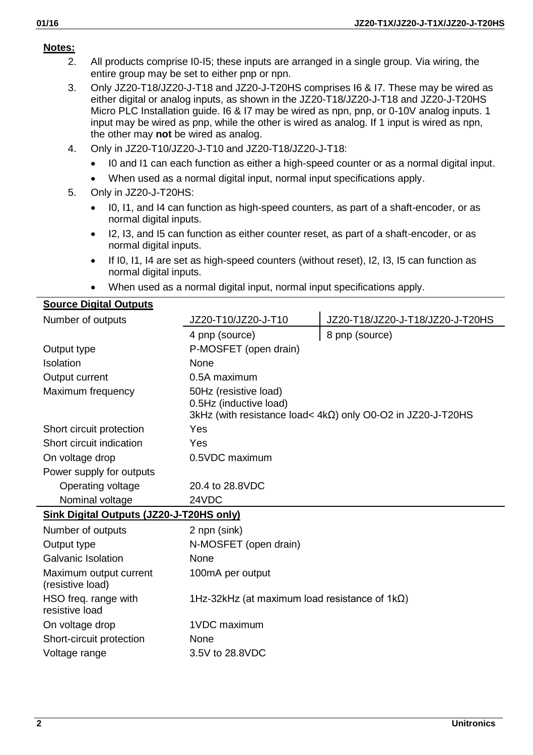### **Notes:**

- 2. All products comprise I0-I5; these inputs are arranged in a single group. Via wiring, the entire group may be set to either pnp or npn.
- 3. Only JZ20-T18/JZ20-J-T18 and JZ20-J-T20HS comprises I6 & I7. These may be wired as either digital or analog inputs, as shown in the JZ20-T18/JZ20-J-T18 and JZ20-J-T20HS Micro PLC Installation guide. I6 & I7 may be wired as npn, pnp, or 0-10V analog inputs. 1 input may be wired as pnp, while the other is wired as analog. If 1 input is wired as npn, the other may **not** be wired as analog.
- 4. Only in JZ20-T10/JZ20-J-T10 and JZ20-T18/JZ20-J-T18:
	- I0 and I1 can each function as either a high-speed counter or as a normal digital input.
	- When used as a normal digital input, normal input specifications apply.
- 5. Only in JZ20-J-T20HS:
	- I0, I1, and I4 can function as high-speed counters, as part of a shaft-encoder, or as normal digital inputs.
	- I2, I3, and I5 can function as either counter reset, as part of a shaft-encoder, or as normal digital inputs.
	- $\bullet$  If I0, I1, I4 are set as high-speed counters (without reset), I2, I3, I5 can function as normal digital inputs.
	- When used as a normal digital input, normal input specifications apply.

|  | <b>Source Digital Outputs</b> |  |
|--|-------------------------------|--|
|  |                               |  |

| Number of outputs                          | JZ20-T10/JZ20-J-T10                                   | JZ20-T18/JZ20-J-T18/JZ20-J-T20HS                                      |
|--------------------------------------------|-------------------------------------------------------|-----------------------------------------------------------------------|
|                                            | 4 pnp (source)                                        | 8 pnp (source)                                                        |
| Output type                                | P-MOSFET (open drain)                                 |                                                                       |
| Isolation                                  | None                                                  |                                                                       |
| Output current                             | 0.5A maximum                                          |                                                                       |
| Maximum frequency                          | 50Hz (resistive load)<br>0.5Hz (inductive load)       | $3kHz$ (with resistance load< $4k\Omega$ ) only O0-O2 in JZ20-J-T20HS |
| Short circuit protection                   | Yes                                                   |                                                                       |
| Short circuit indication                   | Yes                                                   |                                                                       |
| On voltage drop                            | 0.5VDC maximum                                        |                                                                       |
| Power supply for outputs                   |                                                       |                                                                       |
| Operating voltage                          | 20.4 to 28.8VDC                                       |                                                                       |
| Nominal voltage                            | 24VDC                                                 |                                                                       |
| Sink Digital Outputs (JZ20-J-T20HS only)   |                                                       |                                                                       |
| Number of outputs                          | 2 npn (sink)                                          |                                                                       |
| Output type                                | N-MOSFET (open drain)                                 |                                                                       |
| Galvanic Isolation                         | <b>None</b>                                           |                                                                       |
| Maximum output current<br>(resistive load) | 100mA per output                                      |                                                                       |
| HSO freq. range with<br>resistive load     | 1Hz-32kHz (at maximum load resistance of $1k\Omega$ ) |                                                                       |
| On voltage drop                            | 1VDC maximum                                          |                                                                       |
| Short-circuit protection                   | None                                                  |                                                                       |
| Voltage range                              | 3.5V to 28.8VDC                                       |                                                                       |
|                                            |                                                       |                                                                       |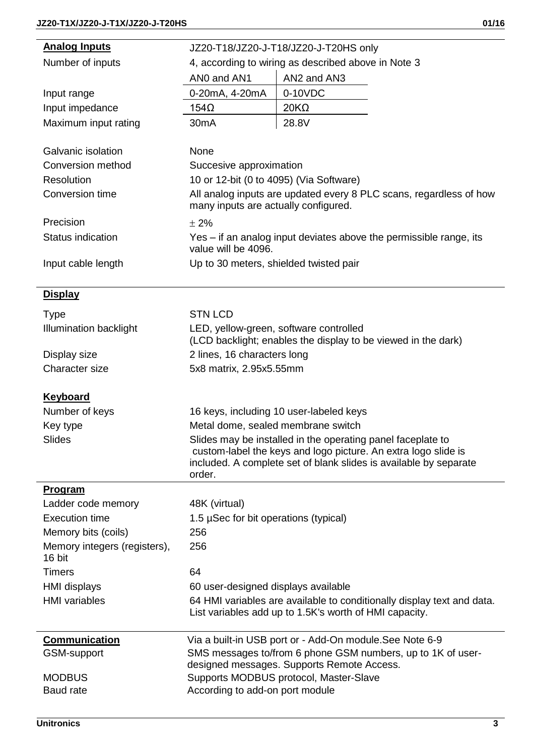$\overline{a}$ 

| <b>Analog Inputs</b>                   | JZ20-T18/JZ20-J-T18/JZ20-J-T20HS only                       |                                                                                                                                     |
|----------------------------------------|-------------------------------------------------------------|-------------------------------------------------------------------------------------------------------------------------------------|
| Number of inputs                       | 4, according to wiring as described above in Note 3         |                                                                                                                                     |
|                                        | ANO and AN1                                                 | AN2 and AN3                                                                                                                         |
| Input range                            | 0-20mA, 4-20mA                                              | 0-10VDC                                                                                                                             |
| Input impedance                        | 154Ω                                                        | 20KΩ                                                                                                                                |
| Maximum input rating                   | 30 <sub>m</sub> A                                           | 28.8V                                                                                                                               |
|                                        |                                                             |                                                                                                                                     |
| Galvanic isolation                     | None                                                        |                                                                                                                                     |
| Conversion method                      | Succesive approximation                                     |                                                                                                                                     |
| Resolution                             |                                                             | 10 or 12-bit (0 to 4095) (Via Software)                                                                                             |
| Conversion time                        | many inputs are actually configured.                        | All analog inputs are updated every 8 PLC scans, regardless of how                                                                  |
| Precision                              | ± 2%                                                        |                                                                                                                                     |
| Status indication                      | value will be 4096.                                         | Yes – if an analog input deviates above the permissible range, its                                                                  |
| Input cable length                     |                                                             | Up to 30 meters, shielded twisted pair                                                                                              |
|                                        |                                                             |                                                                                                                                     |
| <b>Display</b>                         |                                                             |                                                                                                                                     |
| Type                                   | <b>STN LCD</b>                                              |                                                                                                                                     |
| Illumination backlight                 |                                                             | LED, yellow-green, software controlled<br>(LCD backlight; enables the display to be viewed in the dark)                             |
| Display size                           | 2 lines, 16 characters long                                 |                                                                                                                                     |
| Character size                         | 5x8 matrix, 2.95x5.55mm                                     |                                                                                                                                     |
| <b>Keyboard</b>                        |                                                             |                                                                                                                                     |
| Number of keys                         |                                                             | 16 keys, including 10 user-labeled keys                                                                                             |
| Key type                               |                                                             | Metal dome, sealed membrane switch                                                                                                  |
| Slides                                 | Slides may be installed in the operating panel faceplate to |                                                                                                                                     |
|                                        | order.                                                      | custom-label the keys and logo picture. An extra logo slide is<br>included. A complete set of blank slides is available by separate |
| <b>Program</b>                         |                                                             |                                                                                                                                     |
| Ladder code memory                     | 48K (virtual)                                               |                                                                                                                                     |
| Execution time                         | 1.5 µSec for bit operations (typical)                       |                                                                                                                                     |
| Memory bits (coils)                    | 256                                                         |                                                                                                                                     |
| Memory integers (registers),<br>16 bit | 256                                                         |                                                                                                                                     |
| Timers                                 | 64                                                          |                                                                                                                                     |
| HMI displays                           | 60 user-designed displays available                         |                                                                                                                                     |
| <b>HMI</b> variables                   |                                                             | 64 HMI variables are available to conditionally display text and data.<br>List variables add up to 1.5K's worth of HMI capacity.    |
| Communication                          |                                                             | Via a built-in USB port or - Add-On module.See Note 6-9                                                                             |
| GSM-support                            |                                                             | SMS messages to/from 6 phone GSM numbers, up to 1K of user-                                                                         |
|                                        |                                                             | designed messages. Supports Remote Access.                                                                                          |
| <b>MODBUS</b><br><b>Baud</b> rate      | According to add-on port module                             | Supports MODBUS protocol, Master-Slave                                                                                              |
|                                        |                                                             |                                                                                                                                     |